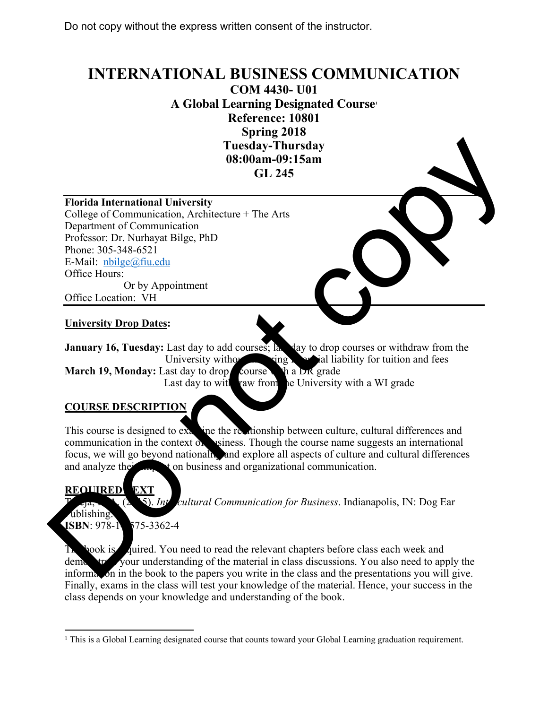## **INTERNATIONAL BUSINESS COMMUNICATION**

**COM 4430- U01**

**A Global Learning Designated Course1**

**Reference: 10801 Spring 2018**

**Tuesday-Thursday 08:00am-09:15am** 

**GL 245**

## **Florida International University**

College of Communication, Architecture + The Arts Department of Communication Professor: Dr. Nurhayat Bilge, PhD Phone: 305-348-6521 E-Mail: nbilge@fiu.edu Office Hours: Or by Appointment Office Location: VH

**University Drop Dates:** 

**January 16, Tuesday:** Last day to add courses; last day to drop courses or withdraw from the University without  $\lim_{n \to \infty} \frac{1}{n}$  in liability for tuition and fees **March 19, Monday:** Last day to drop course with a DR grade Last day to with raw from the University with a WI grade

## **COURSE DESCRIPTION**

This course is designed to examine the relationship between culture, cultural differences and communication in the context of surfaces. Though the course name suggests an international focus, we will go beyond nationally and explore all aspects of culture and cultural differences and analyze the **interval** to on business and organizational communication. Do not copy

## **REQUIRED EXT**

5). *Intercultural Communication for Business*. Indianapolis, IN: Dog Ear

ublishing. **ISBN**: 978-1-575-3362-4

**Nook is zuified.** You need to read the relevant chapters before class each week and demonstrate your understanding of the material in class discussions. You also need to apply the information in the book to the papers you write in the class and the presentations you will give. Finally, exams in the class will test your knowledge of the material. Hence, your success in the class depends on your knowledge and understanding of the book.

<sup>&</sup>lt;sup>1</sup> This is a Global Learning designated course that counts toward your Global Learning graduation requirement.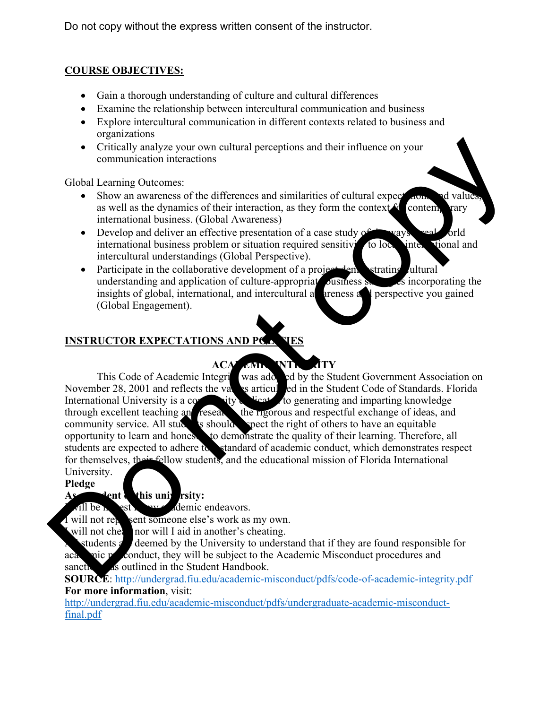## **COURSE OBJECTIVES:**

- Gain a thorough understanding of culture and cultural differences
- Examine the relationship between intercultural communication and business
- Explore intercultural communication in different contexts related to business and organizations
- Critically analyze your own cultural perceptions and their influence on your communication interactions

Global Learning Outcomes:

- Show an awareness of the differences and similarities of cultural expectations and value as well as the dynamics of their interaction, as they form the context  $f_{\text{c}}$  contemporary international business. (Global Awareness)
- Develop and deliver an effective presentation of a case study of the ways real-orld international business problem or situation required sensitivity to local, international and intercultural understandings (Global Perspective).
- Participate in the collaborative development of a project demonstrating ultural understanding and application of culture-appropriate business strategies incorporating the insights of global, international, and intercultural a  $\blacksquare$  areness and perspective you gained (Global Engagement).

## **INSTRUCTOR EXPECTATIONS AND PCL VES**

# **ACA MILL NTL JTY**<br>tegri was ado ed by the Stu

This Code of Academic Integrity was adopted by the Student Government Association on November 28, 2001 and reflects the values articulated in the Student Code of Standards. Florida International University is a community dependent to generating and imparting knowledge through excellent teaching and research the rigorous and respectful exchange of ideas, and through excellent teaching and research the rigorous and respectful exchange of ideas, and community service. All study is should spect the right of others to have an equitable  $\epsilon$  should spect the right of others to have an equitable opportunity to learn and honest to demonstrate the quality of their learning. Therefore, all students are expected to adhere to standard of academic conduct, which demonstrates respect for themselves, their fellow students, and the educational mission of Florida International University. Critically analyze your own cultural perceptions and their influence on your<br>
subcommunication interactions.<br>
Show an awereass of the differences and similarities of cultural excessions as well as the dynamics of their int

### **Pledge**

## **As Separately** dent of this university:

 $\sqrt{11}$  be herest in  $\frac{1}{2}$  academic endeavors.

I will not represent someone else's work as my own.

Will not cheating nor will I aid in another's cheating.

students are deemed by the University to understand that if they are found responsible for academic model misconduct, they will be subject to the Academic Misconduct procedures and sanctively as outlined in the Student Handbook.

**SOURCE**: http://undergrad.fiu.edu/academic-misconduct/pdfs/code-of-academic-integrity.pdf **For more information**, visit:

http://undergrad.fiu.edu/academic-misconduct/pdfs/undergraduate-academic-misconductfinal.pdf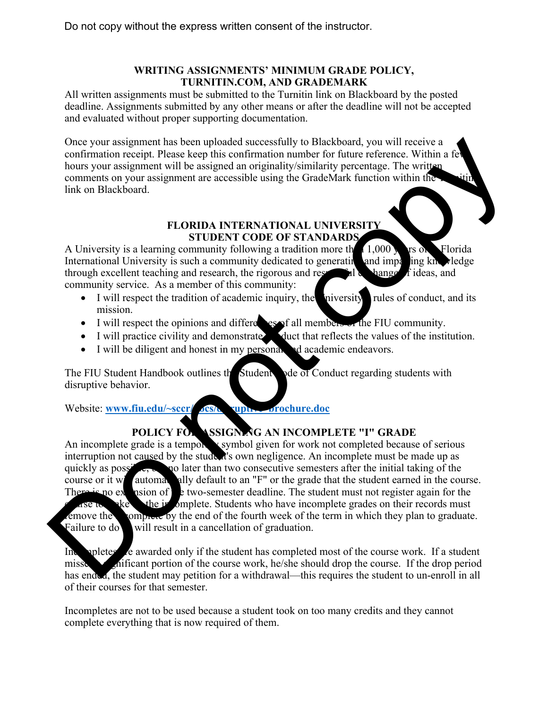## **WRITING ASSIGNMENTS' MINIMUM GRADE POLICY, TURNITIN.COM, AND GRADEMARK**

All written assignments must be submitted to the Turnitin link on Blackboard by the posted deadline. Assignments submitted by any other means or after the deadline will not be accepted and evaluated without proper supporting documentation.

Once your assignment has been uploaded successfully to Blackboard, you will receive a confirmation receipt. Please keep this confirmation number for future reference. Within a few hours your assignment will be assigned an originality/similarity percentage. The written comments on your assignment are accessible using the GradeMark function within the link on Blackboard.

#### **FLORIDA INTERNATIONAL UNIVERSITY STUDENT CODE OF STANDARDS**

A University is a learning community following a tradition more than  $1,000$  and  $\epsilon$  Florida International University is such a community dedicated to generating and imparting knowledge through excellent teaching and research, the rigorous and respectively hange  $\vec{f}$  ideas, and community service. As a member of this community:

- $\bullet$  I will respect the tradition of academic inquiry, the university rules of conduct, and its mission.
- I will respect the opinions and differences of all members of the FIU community.
- I will practice civility and demonstrate duct that reflects the values of the institution.
- I will be diligent and honest in my personal and academic endeavors.

The FIU Student Handbook outlines the Student space of Conduct regarding students with disruptive behavior.

Website: www.fiu.edu/~sccr/ocs/disruptive\_brochure.doc

## POLICY FOR **ASSIGNING AN INCOMPLETE "I" GRADE**

An incomplete grade is a temporary symbol given for work not completed because of serious interruption not caused by the student's own negligence. An incomplete must be made up as quickly as possible,  $\bullet$  go later than two consecutive semesters after the initial taking of the course or it will automate ally default to an "F" or the grade that the student earned in the course. There is no extension of  $\epsilon$  two-semester deadline. The student must not register again for the  $\alpha$  set the incomplete. Students who have incomplete grades on their records must emove the omplete by the end of the fourth week of the term in which they plan to graduate. Failure to do will result in a cancellation of graduation. One your assignment has been uploaded successfully to Blackboard, you will receive a signment will be assigned an originality similarity percence. Within a Fe<br>bours, you was ignment will be assigned an originality similari

Incompletes are awarded only if the student has completed most of the course work. If a student misses a shiftcant portion of the course work, he/she should drop the course. If the drop period has ended, the student may petition for a withdrawal—this requires the student to un-enroll in all of their courses for that semester.

Incompletes are not to be used because a student took on too many credits and they cannot complete everything that is now required of them.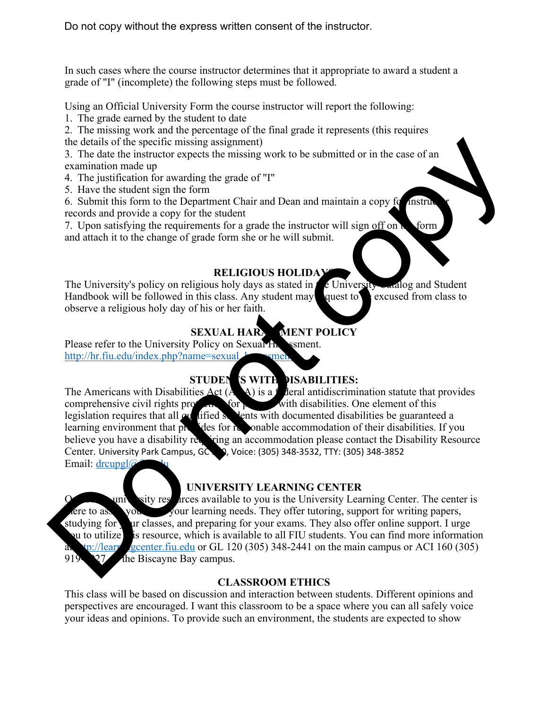In such cases where the course instructor determines that it appropriate to award a student a grade of "I" (incomplete) the following steps must be followed.

Using an Official University Form the course instructor will report the following:

1. The grade earned by the student to date

2. The missing work and the percentage of the final grade it represents (this requires the details of the specific missing assignment)

3. The date the instructor expects the missing work to be submitted or in the case of an examination made up

- 4. The justification for awarding the grade of "I"
- 5. Have the student sign the form

6. Submit this form to the Department Chair and Dean and maintain a copy for instructor records and provide a copy for the student

7. Upon satisfying the requirements for a grade the instructor will sign off on  $\mathbf h$  form and attach it to the change of grade form she or he will submit.

## **RELIGIOUS HOLIDA**

The University's policy on religious holy days as stated in  $t$  e University Catalog and Student Handbook will be followed in this class. Any student may quest to excused from class to observe a religious holy day of his or her faith.

## **SEXUAL HARAMENT POLICY**

Please refer to the University Policy on Sexual Harassment. http://hr.fiu.edu/index.php?name=sexual\_harasment

## **STUDENTS WITH DISABILITIES:**

The Americans with Disabilities Act  $(A, A)$  is a federal antidiscrimination statute that provides comprehensive civil rights property for solution with disabilities. One element of this comprehensive civil rights protection for persons with disabilities. One element of this legislation requires that all  $\alpha$  lified students with documented disabilities be guaranteed a learning environment that provides for responsible accommodation of their disabilities. If you believe you have a disability requiring an accommodation please contact the Disability Resource Center. University Park Campus, GC 190, Voice: (305) 348-3532, TTY: (305) 348-3852 Email: drcupgl@ the desiries of the specific missing assignment)<br>
The date the instructor expects the missing work to be submitted or in the case of an<br>
examination make up<br>
5. The substitution for a warding the grade of <sup>1</sup><sup>1</sup><br>
5. Each t

## **UNIVERSITY LEARNING CENTER**

university rest arces available to you is the University Learning Center. The center is  $t$  are to assist you in all your learning needs. They offer tutoring, support for writing papers, studying for ur classes, and preparing for your exams. They also offer online support. I urge ou to utilize is resource, which is available to all FIU students. You can find more information p://learningcenter.fiu.edu or GL 120 (305) 348-2441 on the main campus or ACI 160 (305) 919-5927 the Biscayne Bay campus.

## **CLASSROOM ETHICS**

This class will be based on discussion and interaction between students. Different opinions and perspectives are encouraged. I want this classroom to be a space where you can all safely voice your ideas and opinions. To provide such an environment, the students are expected to show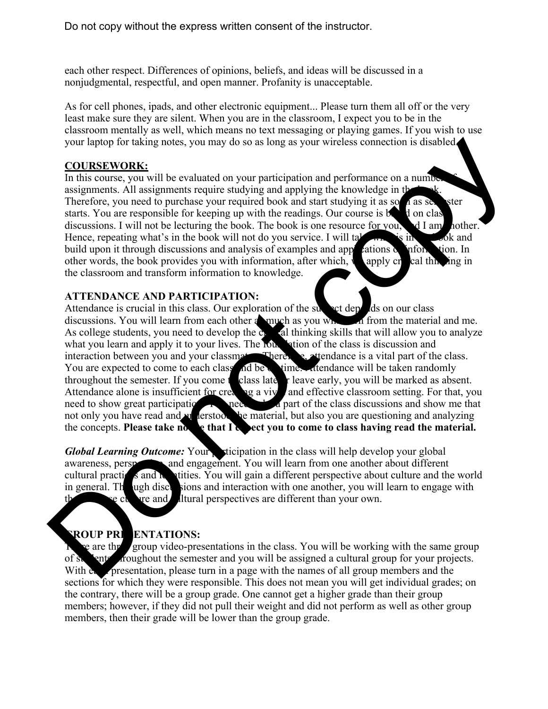each other respect. Differences of opinions, beliefs, and ideas will be discussed in a nonjudgmental, respectful, and open manner. Profanity is unacceptable.

As for cell phones, ipads, and other electronic equipment... Please turn them all off or the very least make sure they are silent. When you are in the classroom, I expect you to be in the classroom mentally as well, which means no text messaging or playing games. If you wish to use your laptop for taking notes, you may do so as long as your wireless connection is disabled.

#### **COURSEWORK:**

In this course, you will be evaluated on your participation and performance on a number assignments. All assignments require studying and applying the knowledge in  $t<sub>k</sub>$ Therefore, you need to purchase your required book and start studying it as some as seemster starts. You are responsible for keeping up with the readings. Our course is  $\mathbf{b}$  d on class discussions. I will not be lecturing the book. The book is one resource for you,  $\mathcal{A}$  I am nother. Hence, repeating what's in the book will not do you service. I will take what is in build upon it through discussions and analysis of examples and appleations  $\alpha$  information. In other words, the book provides you with information, after which, we apply create thinking in the classroom and transform information to knowledge.

## **ATTENDANCE AND PARTICIPATION:**

Attendance is crucial in this class. Our exploration of the subject depends on our class discussions. You will learn from each other as much as you which if from the material and me.<br>As college students, you need to develop the call thinking skills that will allow you to analyze As college students, you need to develop the c. what you learn and apply it to your lives. The foundation of the class is discussion and interaction between you and your classmates. Therefore, attendance is a vital part of the class. You are expected to come to each class and be on time. Attendance will be taken randomly throughout the semester. If you come to class late or leave early, you will be marked as absent.<br>Attendance alone is insufficient for creating a vivion and effective classroom setting. For that, you Attendance alone is insufficient for creating a vivid and effective classroom setting. For that, you need to show great participation. You need to be material, but also you are questioning and analyzing be material, but also you are questioning and analyzing the concepts. Please take not be that I select you to come to class having read the material. your laptop for taking notes, you may do so as long as your wireless connection is disabled<br>
COURSENVOIRE:<br>
This course, you will be cvaluated on your participation and performance on a number<br>signments: All assembles for

*Global Learning Outcome:* Your sticipation in the class will help develop your global awareness, perspectively and engagement. You will learn from one another about different cultural practices and  $\alpha$  it tities. You will gain a different perspective about culture and the world in general. The use of the states is and interaction with one another, you will learn to engage with the see culture and cultural perspectives are different than your own.

## **GROUP PREENTATIONS:**

 $\epsilon$  are the group video-presentations in the class. You will be working with the same group of students aroughout the semester and you will be assigned a cultural group for your projects. With each presentation, please turn in a page with the names of all group members and the sections for which they were responsible. This does not mean you will get individual grades; on the contrary, there will be a group grade. One cannot get a higher grade than their group members; however, if they did not pull their weight and did not perform as well as other group members, then their grade will be lower than the group grade.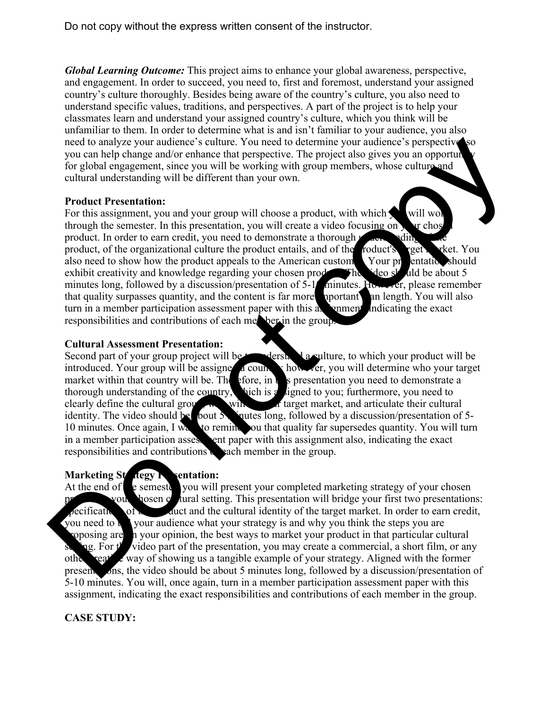*Global Learning Outcome:* This project aims to enhance your global awareness, perspective, and engagement. In order to succeed, you need to, first and foremost, understand your assigned country's culture thoroughly. Besides being aware of the country's culture, you also need to understand specific values, traditions, and perspectives. A part of the project is to help your classmates learn and understand your assigned country's culture, which you think will be unfamiliar to them. In order to determine what is and isn't familiar to your audience, you also need to analyze your audience's culture. You need to determine your audience's perspective you can help change and/or enhance that perspective. The project also gives you an opporture for global engagement, since you will be working with group members, whose culture and cultural understanding will be different than your own.

#### **Product Presentation:**

For this assignment, you and your group will choose a product, with which  $\sim$  will work through the semester. In this presentation, you will create a video focusing on  $\mathbf{v}$  in chosen product. In order to earn credit, you need to demonstrate a thorough  $\nu$ product, of the organizational culture the product entails, and of the roduct's reef. refers that also need to show how the product appeals to the American customer. Your presentation should exhibit creativity and knowledge regarding your chosen production  $\frac{1}{\sqrt{2}}$  and be about 5 minutes long, followed by a discussion/presentation of 5-1<sup>0</sup> minutes. However, please remember that quality surpasses quantity, and the content is far more uportant an length. You will also turn in a member participation assessment paper with this assignment, indicating the exact responsibilities and contributions of each member in the group. noted to analyze your and/enter is culture. You need to determine your randicme's perspective and properties for properties for given any operation for going emerges and or gradient since you will be working with group mem

#### **Cultural Assessment Presentation:**

Second part of your group project will be derstand a culture, to which your product will be introduced. Your group will be assigned a country however, you will determine who your target market within that country will be. Therefore, in the presentation you need to demonstrate a thorough understanding of the country, such is a signed to you; furthermore, you need to Nich is a signed to you; furthermore, you need to clearly define the cultural group, will be will be will be will be will be your target market, and articulate their cultural identity. The video should be bout 5 mutus long, followed by a discussion/presentation of judes long, followed by a discussion/presentation of 5-10 minutes. Once again, I was to remind you that quality far supersedes quantity. You will turn<br>in a member participation assessed that paper with this assignment also, indicating the exact ent paper with this assignment also, indicating the exact responsibilities and contributions seach member in the group.

### **Marketing Strategy Presentation:**

At the end of  $\epsilon$  semester you will present your completed marketing strategy of your chosen zout  $\lambda$  hosen cultural setting. This presentation will bridge your first two presentations: specifications of the product and the cultural identity of the target market. In order to earn credit, you need to the vour audience what your strategy is and why you think the steps you are your audience what your strategy is and why you think the steps you are soposing are, in your opinion, the best ways to market your product in that particular cultural  $sg.$  For the video part of the presentation, you may create a commercial, a short film, or any other case way of showing us a tangible example of your strategy. Aligned with the former present ons, the video should be about 5 minutes long, followed by a discussion/presentation of 5-10 minutes. You will, once again, turn in a member participation assessment paper with this assignment, indicating the exact responsibilities and contributions of each member in the group.

### **CASE STUDY:**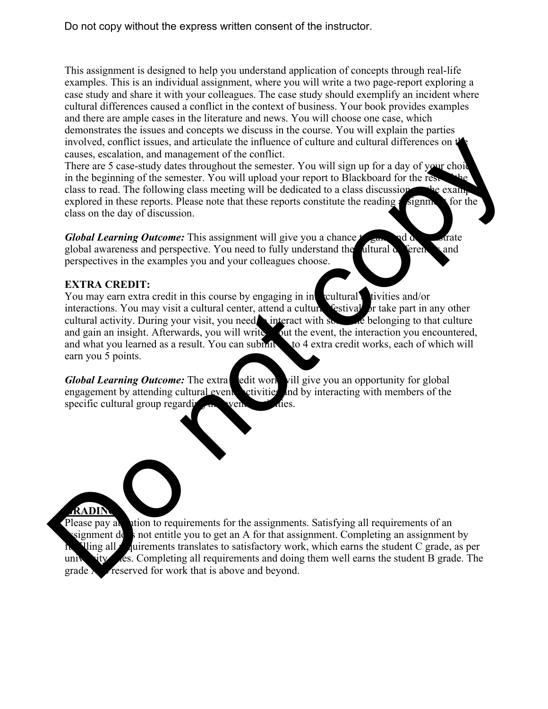This assignment is designed to help you understand application of concepts through real-life examples. This is an individual assignment, where you will write a two page-report exploring a case study and share it with your colleagues. The case study should exemplify an incident where cultural differences caused a conflict in the context of business. Your book provides examples and there are ample cases in the literature and news. You will choose one case, which demonstrates the issues and concepts we discuss in the course. You will explain the parties involved, conflict issues, and articulate the influence of culture and cultural differences on t causes, escalation, and management of the conflict.

There are 5 case-study dates throughout the semester. You will sign up for a day of your choid in the beginning of the semester. You will upload your report to Blackboard for the res class to read. The following class meeting will be dedicated to a class discussion the examples explored in these reports. Please note that these reports constitute the reading assignment for the class on the day of discussion.

*Global Learning Outcome:* This assignment will give you a chance to gain and demonstrate global awareness and perspective. You need to fully understand the cultural differences and perspectives in the examples you and your colleagues choose.

### **EXTRA CREDIT:**

You may earn extra credit in this course by engaging in intercultural activities and/or interactions. You may visit a cultural center, attend a cultural festival, or take part in any other cultural activity. During your visit, you need interact with some belonging to that culture and gain an insight. Afterwards, you will write out the event, the interaction you encountered, and what you learned as a result. You can submit to 4 extra credit works, each of which will earn you 5 points. involved, conflict issues, and anticulate the influence of culture and cultural differences on the masses, escalation, and management of the conflict.<br>There are S cases actualy dates throughout the semester. You will uploa

*Global Learning Outcome:* The extra edit work vill give you an opportunity for global engagement by attending cultural events set critics and by interacting with members of the specific cultural group regarding the vents/ $\alpha$  dies.

### **GRADING:**

Please pay at the requirements for the assignments. Satisfying all requirements of an signment does not entitle you to get an A for that assignment. Completing an assignment by  $N$ ling all *r* quirements translates to satisfactory work, which earns the student C grade, as per university  $\epsilon$  res. Completing all requirements and doing them well earns the student B grade. The grade A is reserved for work that is above and beyond.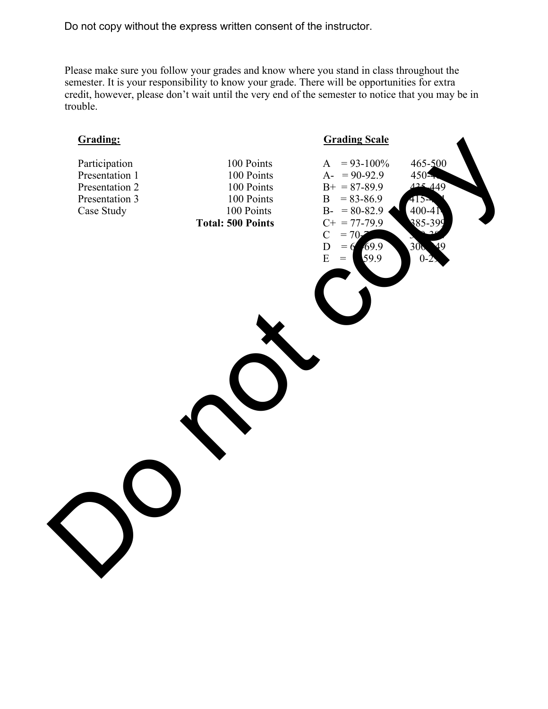Please make sure you follow your grades and know where you stand in class throughout the semester. It is your responsibility to know your grade. There will be opportunities for extra credit, however, please don't wait until the very end of the semester to notice that you may be in trouble.

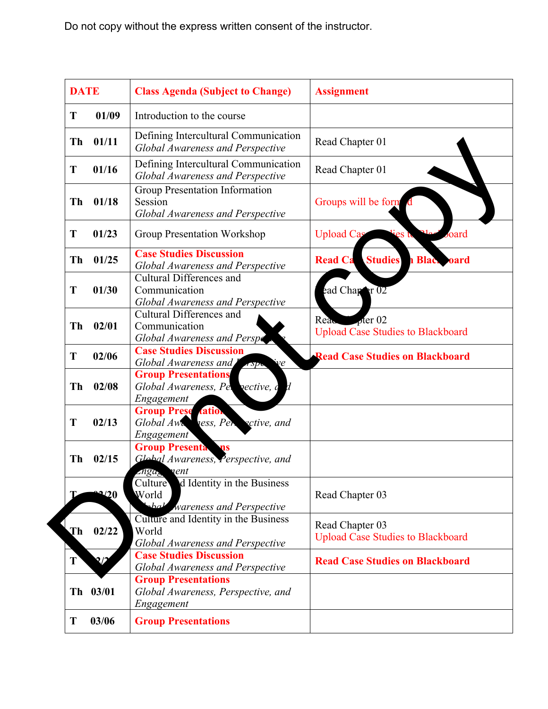| <b>DATE</b>  |                | <b>Class Agenda (Subject to Change)</b>                                                       | <b>Assignment</b>                                           |  |
|--------------|----------------|-----------------------------------------------------------------------------------------------|-------------------------------------------------------------|--|
| T            | 01/09          | Introduction to the course                                                                    |                                                             |  |
| <b>Th</b>    | 01/11          | Defining Intercultural Communication<br>Global Awareness and Perspective                      | Read Chapter 01                                             |  |
| T            | 01/16          | Defining Intercultural Communication<br>Global Awareness and Perspective                      | Read Chapter 01                                             |  |
| <b>Th</b>    | 01/18          | Group Presentation Information<br>Session<br>Global Awareness and Perspective                 | Groups will be form                                         |  |
| T            | 01/23          | <b>Group Presentation Workshop</b>                                                            | <b>Upload Cas</b><br>oard<br>ies t                          |  |
| Th           | 01/25          | <b>Case Studies Discussion</b><br><b>Global Awareness and Perspective</b>                     | <b>Studies</b><br><b>Read Ca</b><br><b>Black oard</b>       |  |
| T            | 01/30          | Cultural Differences and<br>Communication<br><b>Global Awareness and Perspective</b>          | ead Chapter 02                                              |  |
| Th           | 02/01          | <b>Cultural Differences and</b><br>Communication<br>Global Awareness and Perspe               | Read offer 02<br><b>Upload Case Studies to Blackboard</b>   |  |
| T            | 02/06          | <b>Case Studies Discussion</b><br>Global Awareness and<br>$\dot{\mathbf{v}}$ e<br>$\sqrt{sp}$ | <b>Read Case Studies on Blackboard</b>                      |  |
| Th           | 02/08          | <b>Group Presentations</b><br>Global Awareness, Pel pective, c d<br>Engagement                |                                                             |  |
| T            | 02/13          | <b>Group Prese tation</b><br>Global Awa ness, Persective, and<br><i>Engagement</i>            |                                                             |  |
| <b>Th</b>    | 02/15          | <b>Group Presenta</b><br>ns<br>Global Awareness, Perspective, and<br>znga <sub>s</sub> nent   |                                                             |  |
|              | $\mathbf{P}20$ | Culture d Identity in the Business<br>World<br>shall wareness and Perspective                 | Read Chapter 03                                             |  |
| Th           | 02/22          | Culture and Identity in the Business<br>World<br><b>Global Awareness and Perspective</b>      | Read Chapter 03<br><b>Upload Case Studies to Blackboard</b> |  |
| $\mathbf{T}$ | 2/2            | <b>Case Studies Discussion</b><br><b>Global Awareness and Perspective</b>                     | <b>Read Case Studies on Blackboard</b>                      |  |
|              | Th 03/01       | <b>Group Presentations</b><br>Global Awareness, Perspective, and<br>Engagement                |                                                             |  |
| T            | 03/06          | <b>Group Presentations</b>                                                                    |                                                             |  |